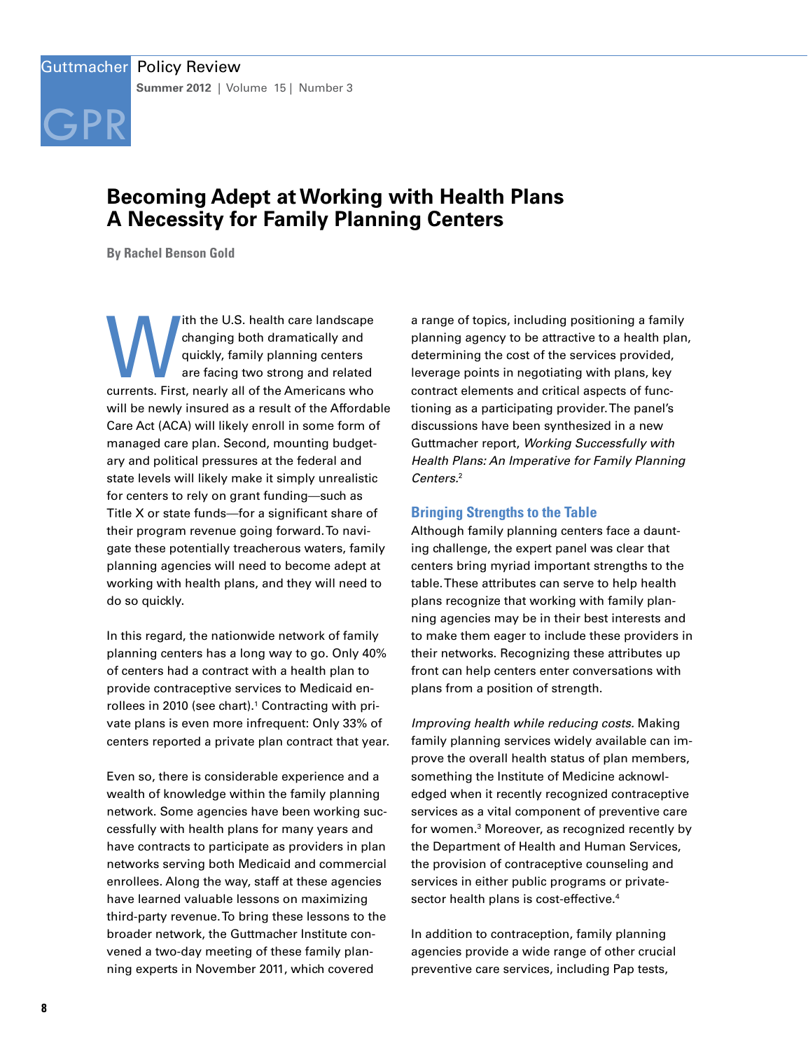# [GPR](http://www.guttmacher.org)

# **Becoming Adept at Working with Health Plans A Necessity for Family Planning Centers**

**By Rachel Benson Gold**

Ith the U.S. health care landscape<br>
changing both dramatically and<br>
quickly, family planning centers<br>
are facing two strong and related<br>
currents. First, nearly all of the Americans who changing both dramatically and quickly, family planning centers are facing two strong and related will be newly insured as a result of the Affordable Care Act (ACA) will likely enroll in some form of managed care plan. Second, mounting budgetary and political pressures at the federal and state levels will likely make it simply unrealistic for centers to rely on grant funding—such as Title X or state funds—for a significant share of their program revenue going forward. To navigate these potentially treacherous waters, family planning agencies will need to become adept at working with health plans, and they will need to do so quickly.

In this regard, the nationwide network of family planning centers has a long way to go. Only 40% of centers had a contract with a health plan to provide contraceptive services to Medicaid enrollees in 2010 (see chart).<sup>1</sup> Contracting with private plans is even more infrequent: Only 33% of centers reported a private plan contract that year.

Even so, there is considerable experience and a wealth of knowledge within the family planning network. Some agencies have been working successfully with health plans for many years and have contracts to participate as providers in plan networks serving both Medicaid and commercial enrollees. Along the way, staff at these agencies have learned valuable lessons on maximizing third-party revenue. To bring these lessons to the broader network, the Guttmacher Institute convened a two-day meeting of these family planning experts in November 2011, which covered

a range of topics, including positioning a family planning agency to be attractive to a health plan, determining the cost of the services provided, leverage points in negotiating with plans, key contract elements and critical aspects of functioning as a participating provider. The panel's discussions have been synthesized in a new Guttmacher report, *Working Successfully with Health Plans: An Imperative for Family Planning Centers.*<sup>2</sup>

# **Bringing Strengths to the Table**

Although family planning centers face a daunting challenge, the expert panel was clear that centers bring myriad important strengths to the table. These attributes can serve to help health plans recognize that working with family planning agencies may be in their best interests and to make them eager to include these providers in their networks. Recognizing these attributes up front can help centers enter conversations with plans from a position of strength.

*Improving health while reducing costs.* Making family planning services widely available can improve the overall health status of plan members, something the Institute of Medicine acknowledged when it recently recognized contraceptive services as a vital component of preventive care for women.3 Moreover, as recognized recently by the Department of Health and Human Services, the provision of contraceptive counseling and services in either public programs or privatesector health plans is cost-effective.<sup>4</sup>

In addition to contraception, family planning agencies provide a wide range of other crucial preventive care services, including Pap tests,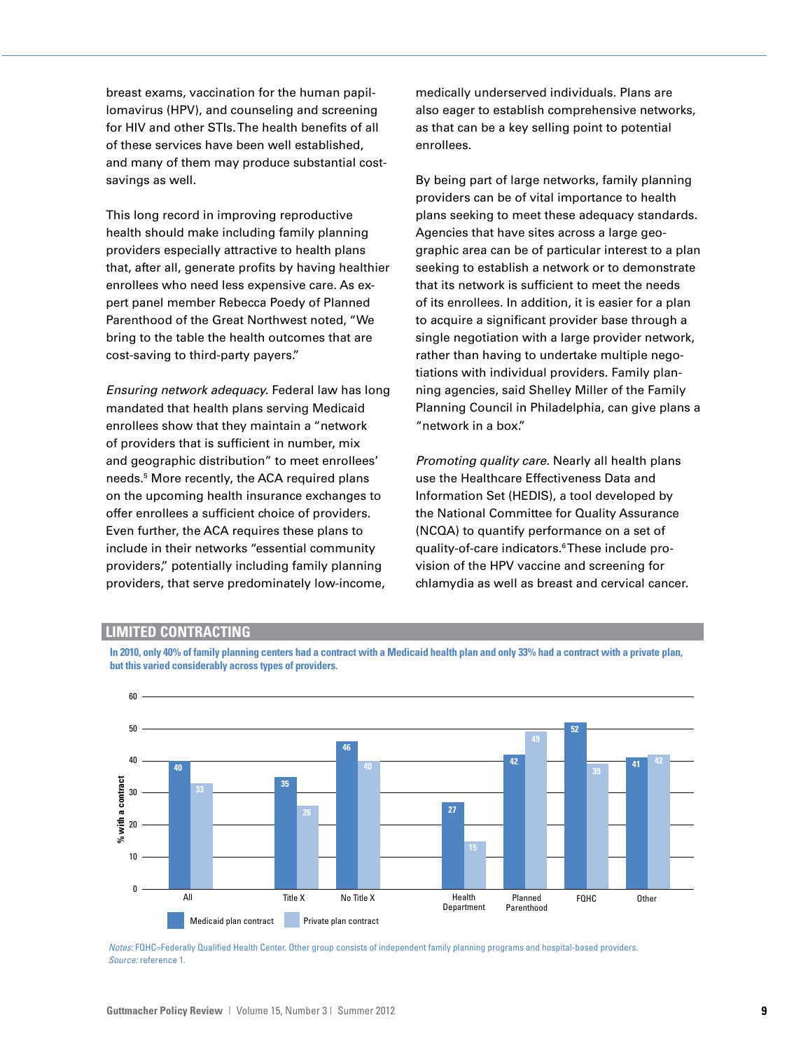breast exams, vaccination for the human papillomavirus (HPV), and counseling and screening for HIV and other STIs. The health benefits of all of these services have been well established, and many of them may produce substantial costsavings as well.

This long record in improving reproductive health should make including family planning providers especially attractive to health plans that, after all, generate profits by having healthier enrollees who need less expensive care. As expert panel member Rebecca Poedy of Planned Parenthood of the Great Northwest noted, "We bring to the table the health outcomes that are cost-saving to third-party payers."

*Ensuring network adequacy.* Federal law has long mandated that health plans serving Medicaid enrollees show that they maintain a "network of providers that is sufficient in number, mix and geographic distribution" to meet enrollees' needs.<sup>5</sup> More recently, the ACA required plans on the upcoming health insurance exchanges to offer enrollees a sufficient choice of providers. Even further, the ACA requires these plans to include in their networks "essential community providers," potentially including family planning % providers, that serve predominately low-income, Security <sup>62</sup>

medically underserved individuals. Plans are also eager to establish comprehensive networks, as that can be a key selling point to potential enrollees.

By being part of large networks, family planning providers can be of vital importance to health plans seeking to meet these adequacy standards. Agencies that have sites across a large geographic area can be of particular interest to a plan seeking to establish a network or to demonstrate that its network is sufficient to meet the needs of its enrollees. In addition, it is easier for a plan to acquire a significant provider base through a single negotiation with a large provider network, rather than having to undertake multiple negotiations with individual providers. Family planning agencies, said Shelley Miller of the Family Planning Council in Philadelphia, can give plans a "network in a box." 10

*Promoting quality care.* Nearly all health plans use the Healthcare Effectiveness Data and Information Set (HEDIS), a tool developed by the National Committee for Quality Assurance (NCQA) to quantify performance on a set of essential community a quality-of-care indicators.®These include provision of the HPV vaccine and screening for chlamydia as well as breast and cervical cancer.

### **LIMITED CONTRACTING**

**In 2010, only 40% of family planning centers had a contract with a Medicaid health plan and only 33% had a contract with a private plan, but this varied considerably across types of providers.**



*Notes:* FQHC=Federally Qualified Health Center. Other group consists of independent family planning programs and hospital-based providers. *Source:* reference 1.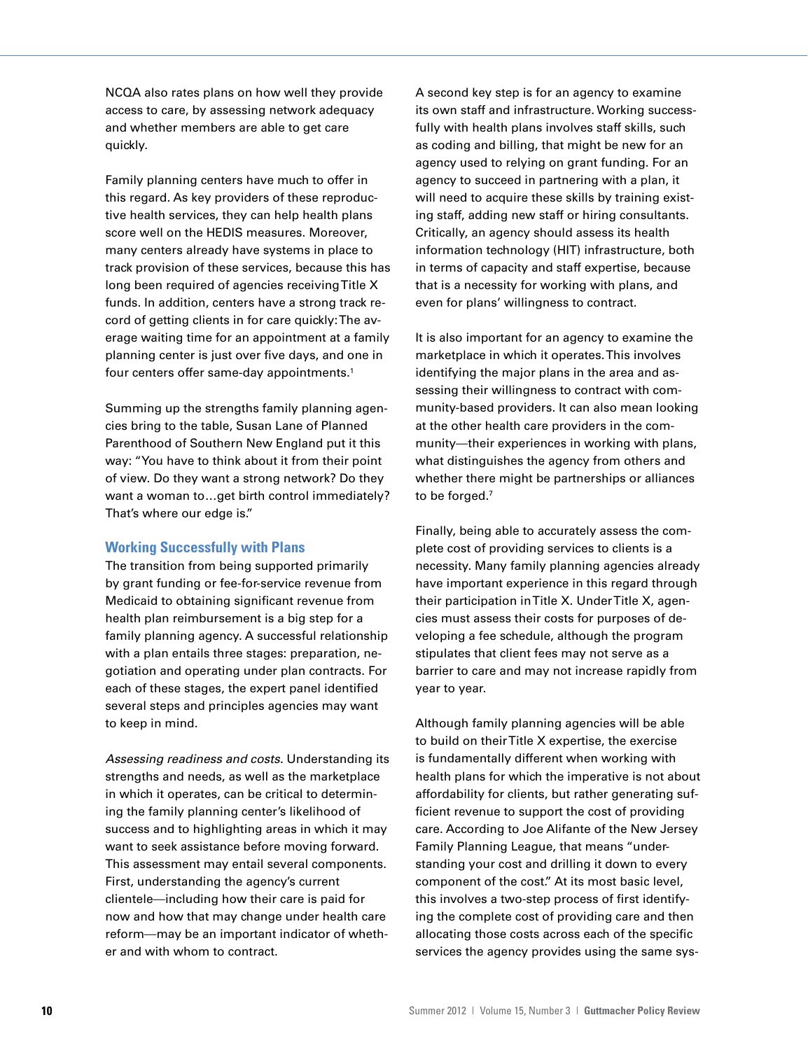NCQA also rates plans on how well they provide access to care, by assessing network adequacy and whether members are able to get care quickly.

Family planning centers have much to offer in this regard. As key providers of these reproductive health services, they can help health plans score well on the HEDIS measures. Moreover, many centers already have systems in place to track provision of these services, because this has long been required of agencies receiving Title X funds. In addition, centers have a strong track record of getting clients in for care quickly: The average waiting time for an appointment at a family planning center is just over five days, and one in four centers offer same-day appointments.<sup>1</sup>

Summing up the strengths family planning agencies bring to the table, Susan Lane of Planned Parenthood of Southern New England put it this way: "You have to think about it from their point of view. Do they want a strong network? Do they want a woman to…get birth control immediately? That's where our edge is."

# **Working Successfully with Plans**

The transition from being supported primarily by grant funding or fee-for-service revenue from Medicaid to obtaining significant revenue from health plan reimbursement is a big step for a family planning agency. A successful relationship with a plan entails three stages: preparation, negotiation and operating under plan contracts. For each of these stages, the expert panel identified several steps and principles agencies may want to keep in mind.

*Assessing readiness and costs.* Understanding its strengths and needs, as well as the marketplace in which it operates, can be critical to determining the family planning center's likelihood of success and to highlighting areas in which it may want to seek assistance before moving forward. This assessment may entail several components. First, understanding the agency's current clientele—including how their care is paid for now and how that may change under health care reform—may be an important indicator of whether and with whom to contract.

A second key step is for an agency to examine its own staff and infrastructure. Working successfully with health plans involves staff skills, such as coding and billing, that might be new for an agency used to relying on grant funding. For an agency to succeed in partnering with a plan, it will need to acquire these skills by training existing staff, adding new staff or hiring consultants. Critically, an agency should assess its health information technology (HIT) infrastructure, both in terms of capacity and staff expertise, because that is a necessity for working with plans, and even for plans' willingness to contract.

It is also important for an agency to examine the marketplace in which it operates. This involves identifying the major plans in the area and assessing their willingness to contract with community-based providers. It can also mean looking at the other health care providers in the community—their experiences in working with plans, what distinguishes the agency from others and whether there might be partnerships or alliances to be forged.7

Finally, being able to accurately assess the complete cost of providing services to clients is a necessity. Many family planning agencies already have important experience in this regard through their participation in Title X. Under Title X, agencies must assess their costs for purposes of developing a fee schedule, although the program stipulates that client fees may not serve as a barrier to care and may not increase rapidly from year to year.

Although family planning agencies will be able to build on their Title X expertise, the exercise is fundamentally different when working with health plans for which the imperative is not about affordability for clients, but rather generating sufficient revenue to support the cost of providing care. According to Joe Alifante of the New Jersey Family Planning League, that means "understanding your cost and drilling it down to every component of the cost." At its most basic level, this involves a two-step process of first identifying the complete cost of providing care and then allocating those costs across each of the specific services the agency provides using the same sys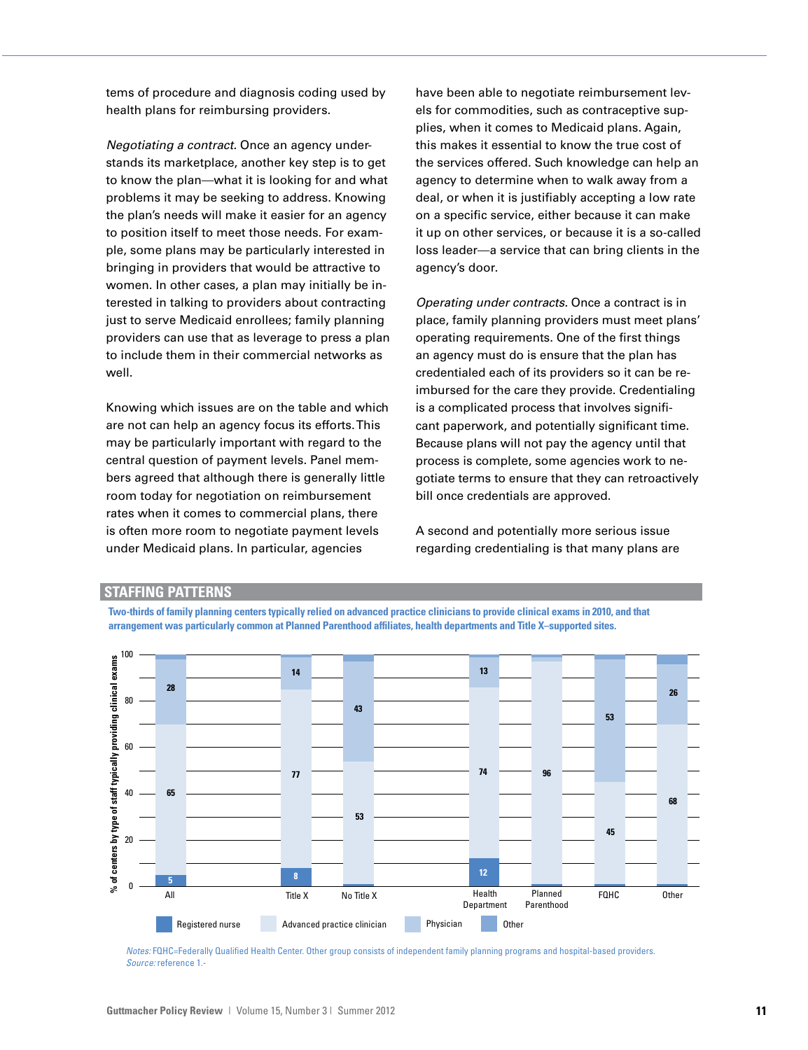tems of procedure and diagnosis coding used by health plans for reimbursing providers.

*Negotiating a contract.* Once an agency understands its marketplace, another key step is to get to know the plan—what it is looking for and what problems it may be seeking to address. Knowing the plan's needs will make it easier for an agency to position itself to meet those needs. For example, some plans may be particularly interested in bringing in providers that would be attractive to women. In other cases, a plan may initially be interested in talking to providers about contracting just to serve Medicaid enrollees; family planning providers can use that as leverage to press a plan to include them in their commercial networks as well.

Knowing which issues are on the table and which are not can help an agency focus its efforts. This may be particularly important with regard to the central question of payment levels. Panel members agreed that although there is generally little room today for negotiation on reimbursement rates when it comes to commercial plans, there is often more room to negotiate payment levels under Medicaid plans. In particular, agencies

have been able to negotiate reimbursement levels for commodities, such as contraceptive supplies, when it comes to Medicaid plans. Again, this makes it essential to know the true cost of the services offered. Such knowledge can help an agency to determine when to walk away from a deal, or when it is justifiably accepting a low rate on a specific service, either because it can make it up on other services, or because it is a so-called loss leader—a service that can bring clients in the agency's door.

*Operating under contracts.* Once a contract is in place, family planning providers must meet plans' operating requirements. One of the first things an agency must do is ensure that the plan has credentialed each of its providers so it can be reimbursed for the care they provide. Credentialing is a complicated process that involves significant paperwork, and potentially significant time. Because plans will not pay the agency until that process is complete, some agencies work to negotiate terms to ensure that they can retroactively bill once credentials are approved.

A second and potentially more serious issue regarding credentialing is that many plans are

#### **STAFFING PATTERNS**

**Two-thirds of family planning centers typically relied on advanced practice clinicians to provide clinical exams in 2010, and that arrangement was particularly common at Planned Parenthood affiliates, health departments and Title X–supported sites.**



*Notes:* FQHC=Federally Qualified Health Center. Other group consists of independent family planning programs and hospital-based providers. *Source:* reference 1.-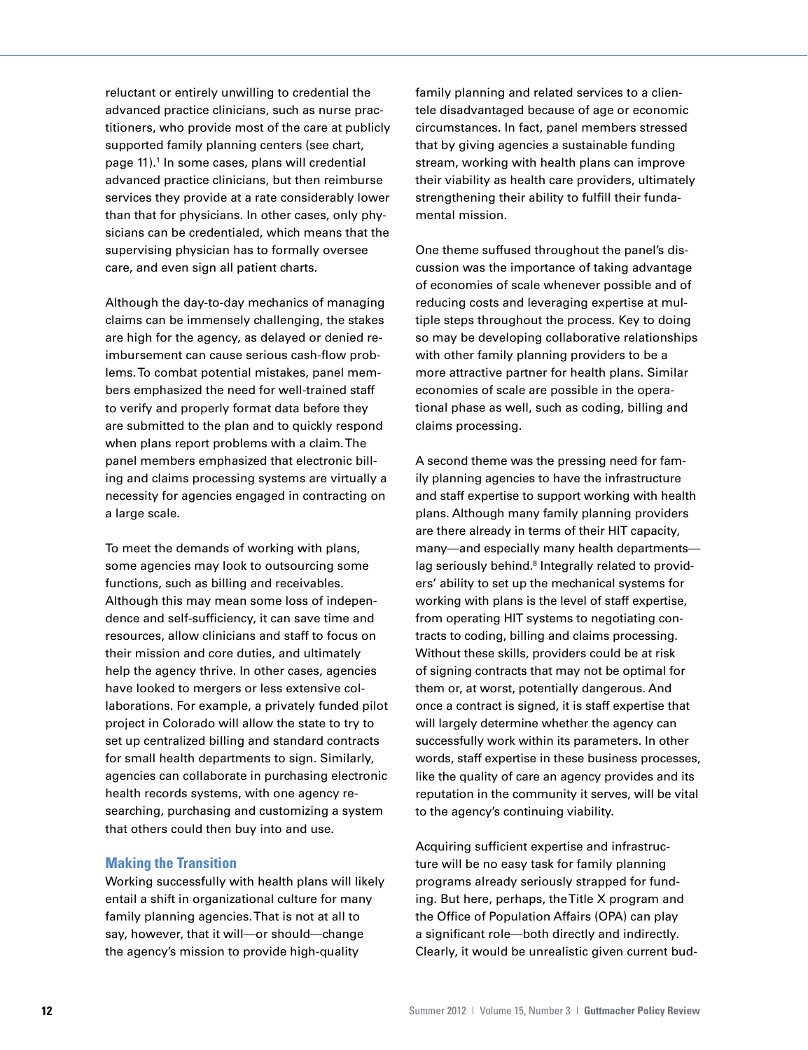reluctant or entirely unwilling to credential the advanced practice clinicians, such as nurse practitioners, who provide most of the care at publicly supported family planning centers (see chart, page 11).<sup>1</sup> In some cases, plans will credential advanced practice clinicians, but then reimburse services they provide at a rate considerably lower than that for physicians. In other cases, only physicians can be credentialed, which means that the supervising physician has to formally oversee care, and even sign all patient charts.

Although the day-to-day mechanics of managing claims can be immensely challenging, the stakes are high for the agency, as delayed or denied reimbursement can cause serious cash-flow problems. To combat potential mistakes, panel members emphasized the need for well-trained staff to verify and properly format data before they are submitted to the plan and to quickly respond when plans report problems with a claim. The panel members emphasized that electronic billing and claims processing systems are virtually a necessity for agencies engaged in contracting on a large scale.

To meet the demands of working with plans, some agencies may look to outsourcing some functions, such as billing and receivables. Although this may mean some loss of independence and self-sufficiency, it can save time and resources, allow clinicians and staff to focus on their mission and core duties, and ultimately help the agency thrive. In other cases, agencies have looked to mergers or less extensive collaborations. For example, a privately funded pilot project in Colorado will allow the state to try to set up centralized billing and standard contracts for small health departments to sign. Similarly, agencies can collaborate in purchasing electronic health records systems, with one agency researching, purchasing and customizing a system that others could then buy into and use.

### **Making the Transition**

Working successfully with health plans will likely entail a shift in organizational culture for many family planning agencies. That is not at all to say, however, that it will—or should—change the agency's mission to provide high-quality

family planning and related services to a clientele disadvantaged because of age or economic circumstances. In fact, panel members stressed that by giving agencies a sustainable funding stream, working with health plans can improve their viability as health care providers, ultimately strengthening their ability to fulfill their fundamental mission.

One theme suffused throughout the panel's discussion was the importance of taking advantage of economies of scale whenever possible and of reducing costs and leveraging expertise at multiple steps throughout the process. Key to doing so may be developing collaborative relationships with other family planning providers to be a more attractive partner for health plans. Similar economies of scale are possible in the operational phase as well, such as coding, billing and claims processing.

A second theme was the pressing need for family planning agencies to have the infrastructure and staff expertise to support working with health plans. Although many family planning providers are there already in terms of their HIT capacity, many—and especially many health departments lag seriously behind.<sup>8</sup> Integrally related to providers' ability to set up the mechanical systems for working with plans is the level of staff expertise, from operating HIT systems to negotiating contracts to coding, billing and claims processing. Without these skills, providers could be at risk of signing contracts that may not be optimal for them or, at worst, potentially dangerous. And once a contract is signed, it is staff expertise that will largely determine whether the agency can successfully work within its parameters. In other words, staff expertise in these business processes, like the quality of care an agency provides and its reputation in the community it serves, will be vital to the agency's continuing viability.

Acquiring sufficient expertise and infrastructure will be no easy task for family planning programs already seriously strapped for funding. But here, perhaps, the Title X program and the Office of Population Affairs (OPA) can play a significant role—both directly and indirectly. Clearly, it would be unrealistic given current bud